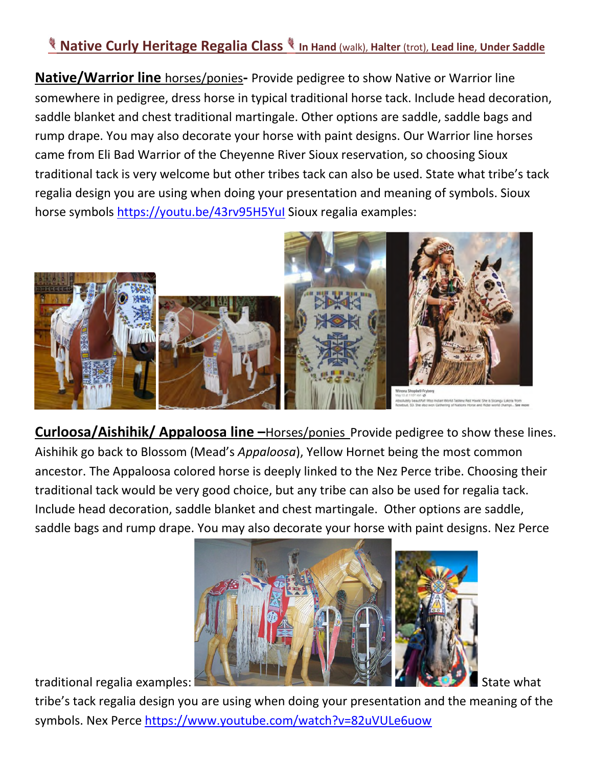## **Native Curly Heritage Regalia Class In Hand** (walk), **Halter** (trot), **Lead line**, **Under Saddle**

**Native/Warrior line** horses/ponies**-** Provide pedigree to show Native or Warrior line somewhere in pedigree, dress horse in typical traditional horse tack. Include head decoration, saddle blanket and chest traditional martingale. Other options are saddle, saddle bags and rump drape. You may also decorate your horse with paint designs. Our Warrior line horses came from Eli Bad Warrior of the Cheyenne River Sioux reservation, so choosing Sioux traditional tack is very welcome but other tribes tack can also be used. State what tribe's tack regalia design you are using when doing your presentation and meaning of symbols. Sioux horse symbols https://youtu.be/43rv95H5YuI Sioux regalia examples:



**Curloosa/Aishihik/ Appaloosa line –**Horses/ponies Provide pedigree to show these lines. Aishihik go back to Blossom (Mead's *Appaloosa*), Yellow Hornet being the most common ancestor. The Appaloosa colored horse is deeply linked to the Nez Perce tribe. Choosing their traditional tack would be very good choice, but any tribe can also be used for regalia tack. Include head decoration, saddle blanket and chest martingale. Other options are saddle, saddle bags and rump drape. You may also decorate your horse with paint designs. Nez Perce



tribe's tack regalia design you are using when doing your presentation and the meaning of the symbols. Nex Perce https://www.youtube.com/watch?v=82uVULe6uow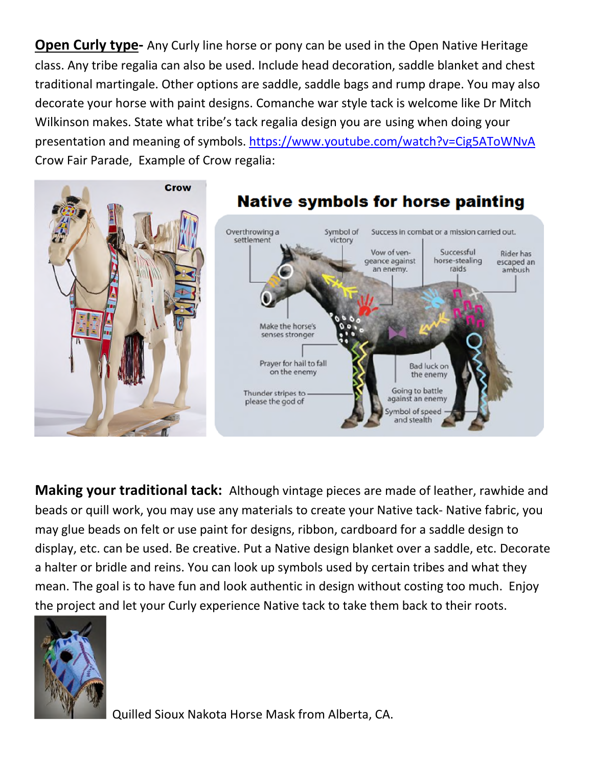**Open Curly type-** Any Curly line horse or pony can be used in the Open Native Heritage class. Any tribe regalia can also be used. Include head decoration, saddle blanket and chest traditional martingale. Other options are saddle, saddle bags and rump drape. You may also decorate your horse with paint designs. Comanche war style tack is welcome like Dr Mitch Wilkinson makes. State what tribe's tack regalia design you are using when doing your presentation and meaning of symbols. https://www.youtube.com/watch?v=Cig5AToWNvA Crow Fair Parade, Example of Crow regalia:



**Making your traditional tack:** Although vintage pieces are made of leather, rawhide and beads or quill work, you may use any materials to create your Native tack- Native fabric, you may glue beads on felt or use paint for designs, ribbon, cardboard for a saddle design to display, etc. can be used. Be creative. Put a Native design blanket over a saddle, etc. Decorate a halter or bridle and reins. You can look up symbols used by certain tribes and what they mean. The goal is to have fun and look authentic in design without costing too much. Enjoy the project and let your Curly experience Native tack to take them back to their roots.



Quilled Sioux Nakota Horse Mask from Alberta, CA.